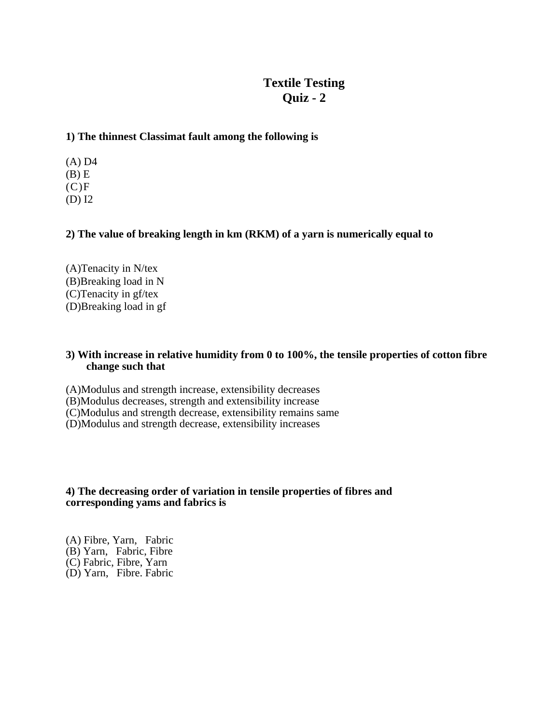# **Textile Testing Quiz - 2**

### **1) The thinnest Classimat fault among the following is**

(A) D4  $(B)$  E  $(C)F$ (D) I2

### **2) The value of breaking length in km (RKM) of a yarn is numerically equal to**

(A)Tenacity in N/tex (B)Breaking load in N (C)Tenacity in gf/tex (D)Breaking load in gf

#### **3) With increase in relative humidity from 0 to 100%, the tensile properties of cotton fibre change such that**

(A)Modulus and strength increase, extensibility decreases

(B)Modulus decreases, strength and extensibility increase

(C)Modulus and strength decrease, extensibility remains same

(D)Modulus and strength decrease, extensibility increases

#### **4) The decreasing order of variation in tensile properties of fibres and corresponding yams and fabrics is**

(A) Fibre, Yarn, Fabric (B) Yarn, Fabric, Fibre (C) Fabric, Fibre, Yarn (D) Yarn, Fibre. Fabric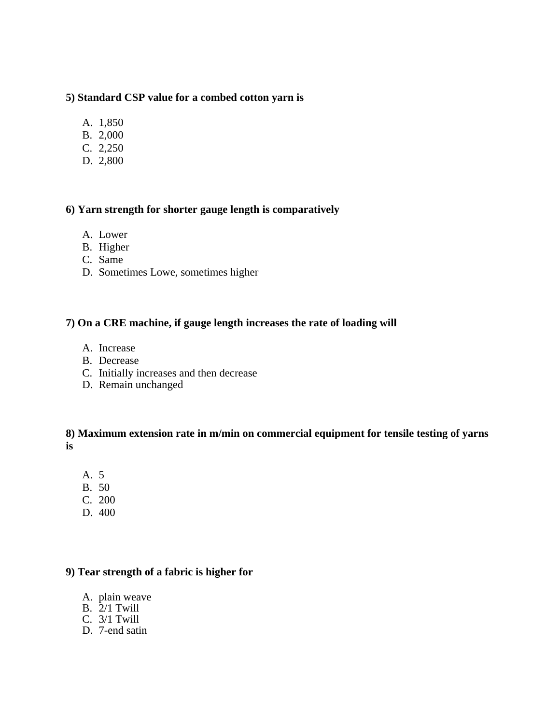## **5) Standard CSP value for a combed cotton yarn is**

- A. 1,850
- B. 2,000
- C. 2,250
- D. 2,800

## **6) Yarn strength for shorter gauge length is comparatively**

- A. Lower
- B. Higher
- C. Same
- D. Sometimes Lowe, sometimes higher

#### **7) On a CRE machine, if gauge length increases the rate of loading will**

- A. Increase
- B. Decrease
- C. Initially increases and then decrease
- D. Remain unchanged

## **8) Maximum extension rate in m/min on commercial equipment for tensile testing of yarns is**

- A. 5
- 50 B.
- C. 200
- 400 D.

## **9) Tear strength of a fabric is higher for**

- A. plain weave
- B. 2/1 Twill
- C. 3/1 Twill
- D. 7-end satin